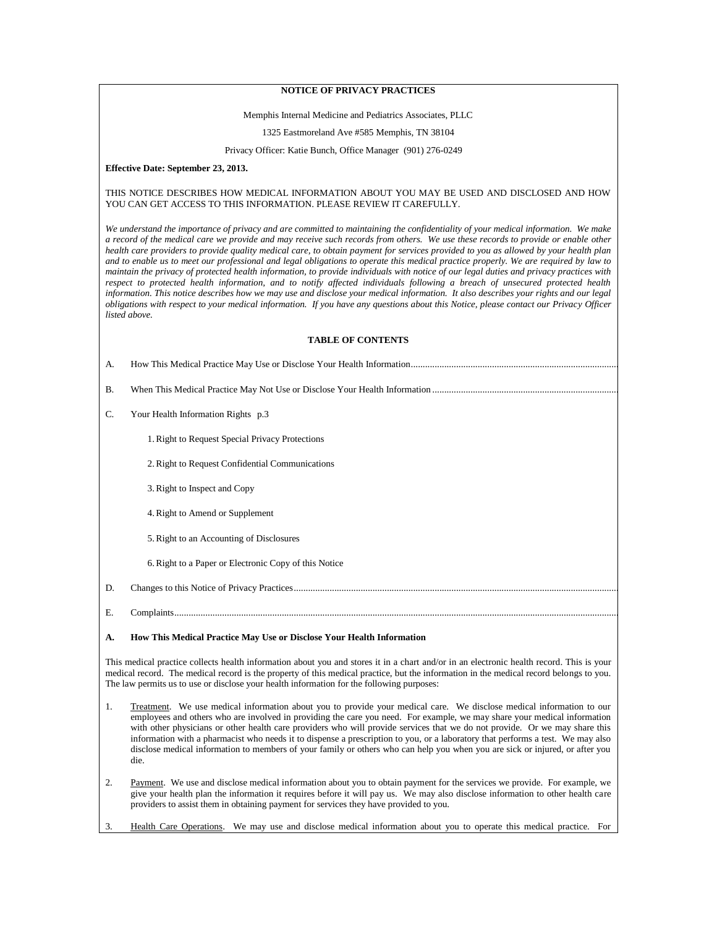## **NOTICE OF PRIVACY PRACTICES**

### Memphis Internal Medicine and Pediatrics Associates, PLLC

1325 Eastmoreland Ave #585 Memphis, TN 38104

Privacy Officer: Katie Bunch, Office Manager (901) 276-0249

**Effective Date: September 23, 2013.**

### THIS NOTICE DESCRIBES HOW MEDICAL INFORMATION ABOUT YOU MAY BE USED AND DISCLOSED AND HOW YOU CAN GET ACCESS TO THIS INFORMATION. PLEASE REVIEW IT CAREFULLY.

*We understand the importance of privacy and are committed to maintaining the confidentiality of your medical information. We make a record of the medical care we provide and may receive such records from others. We use these records to provide or enable other health care providers to provide quality medical care, to obtain payment for services provided to you as allowed by your health plan and to enable us to meet our professional and legal obligations to operate this medical practice properly. We are required by law to maintain the privacy of protected health information, to provide individuals with notice of our legal duties and privacy practices with* respect to protected health information, and to notify affected individuals following a breach of unsecured protected health *information. This notice describes how we may use and disclose your medical information. It also describes your rights and our legal obligations with respect to your medical information. If you have any questions about this Notice, please contact our Privacy Officer listed above.*

## **TABLE OF CONTENTS**

| А.        |                                                       |
|-----------|-------------------------------------------------------|
| <b>B.</b> |                                                       |
| C.        | Your Health Information Rights p.3                    |
|           | 1. Right to Request Special Privacy Protections       |
|           | 2. Right to Request Confidential Communications       |
|           | 3. Right to Inspect and Copy                          |
|           | 4. Right to Amend or Supplement                       |
|           | 5. Right to an Accounting of Disclosures              |
|           | 6. Right to a Paper or Electronic Copy of this Notice |
| D.        |                                                       |
| Е.        |                                                       |

# <span id="page-0-0"></span>**A. How This Medical Practice May Use or Disclose Your Health Information**

This medical practice collects health information about you and stores it in a chart and/or in an electronic health record. This is your medical record. The medical record is the property of this medical practice, but the information in the medical record belongs to you. The law permits us to use or disclose your health information for the following purposes:

- 1. Treatment. We use medical information about you to provide your medical care. We disclose medical information to our employees and others who are involved in providing the care you need. For example, we may share your medical information with other physicians or other health care providers who will provide services that we do not provide. Or we may share this information with a pharmacist who needs it to dispense a prescription to you, or a laboratory that performs a test. We may also disclose medical information to members of your family or others who can help you when you are sick or injured, or after you die.
- 2. Payment. We use and disclose medical information about you to obtain payment for the services we provide. For example, we give your health plan the information it requires before it will pay us. We may also disclose information to other health care providers to assist them in obtaining payment for services they have provided to you.
- 3. Health Care Operations. We may use and disclose medical information about you to operate this medical practice. For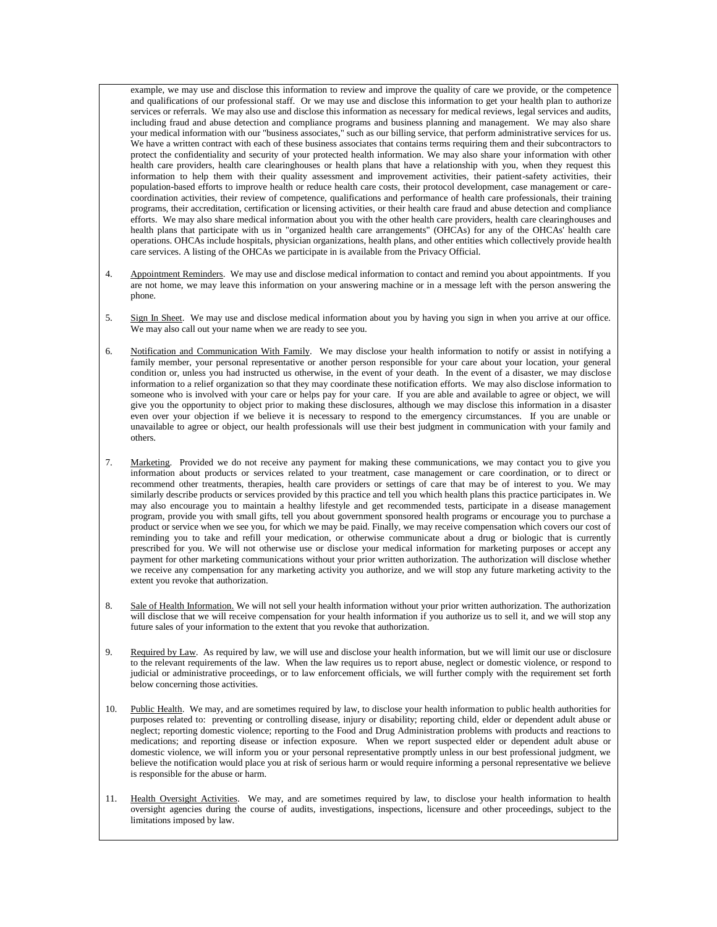example, we may use and disclose this information to review and improve the quality of care we provide, or the competence and qualifications of our professional staff. Or we may use and disclose this information to get your health plan to authorize services or referrals. We may also use and disclose this information as necessary for medical reviews, legal services and audits, including fraud and abuse detection and compliance programs and business planning and management. We may also share your medical information with our "business associates," such as our billing service, that perform administrative services for us. We have a written contract with each of these business associates that contains terms requiring them and their subcontractors to protect the confidentiality and security of your protected health information. We may also share your information with other health care providers, health care clearinghouses or health plans that have a relationship with you, when they request this information to help them with their quality assessment and improvement activities, their patient-safety activities, their population-based efforts to improve health or reduce health care costs, their protocol development, case management or carecoordination activities, their review of competence, qualifications and performance of health care professionals, their training programs, their accreditation, certification or licensing activities, or their health care fraud and abuse detection and compliance efforts. We may also share medical information about you with the other health care providers, health care clearinghouses and health plans that participate with us in "organized health care arrangements" (OHCAs) for any of the OHCAs' health care operations. OHCAs include hospitals, physician organizations, health plans, and other entities which collectively provide health care services. A listing of the OHCAs we participate in is available from the Privacy Official.

- 4. Appointment Reminders. We may use and disclose medical information to contact and remind you about appointments. If you are not home, we may leave this information on your answering machine or in a message left with the person answering the phone.
- 5. Sign In Sheet. We may use and disclose medical information about you by having you sign in when you arrive at our office. We may also call out your name when we are ready to see you.
- 6. Notification and Communication With Family. We may disclose your health information to notify or assist in notifying a family member, your personal representative or another person responsible for your care about your location, your general condition or, unless you had instructed us otherwise, in the event of your death. In the event of a disaster, we may disclose information to a relief organization so that they may coordinate these notification efforts. We may also disclose information to someone who is involved with your care or helps pay for your care. If you are able and available to agree or object, we will give you the opportunity to object prior to making these disclosures, although we may disclose this information in a disaster even over your objection if we believe it is necessary to respond to the emergency circumstances. If you are unable or unavailable to agree or object, our health professionals will use their best judgment in communication with your family and others.
- 7. Marketing. Provided we do not receive any payment for making these communications, we may contact you to give you information about products or services related to your treatment, case management or care coordination, or to direct or recommend other treatments, therapies, health care providers or settings of care that may be of interest to you. We may similarly describe products or services provided by this practice and tell you which health plans this practice participates in. We may also encourage you to maintain a healthy lifestyle and get recommended tests, participate in a disease management program, provide you with small gifts, tell you about government sponsored health programs or encourage you to purchase a product or service when we see you, for which we may be paid. Finally, we may receive compensation which covers our cost of reminding you to take and refill your medication, or otherwise communicate about a drug or biologic that is currently prescribed for you. We will not otherwise use or disclose your medical information for marketing purposes or accept any payment for other marketing communications without your prior written authorization. The authorization will disclose whether we receive any compensation for any marketing activity you authorize, and we will stop any future marketing activity to the extent you revoke that authorization.
- 8. Sale of Health Information. We will not sell your health information without your prior written authorization. The authorization will disclose that we will receive compensation for your health information if you authorize us to sell it, and we will stop any future sales of your information to the extent that you revoke that authorization.
- 9. Required by Law. As required by law, we will use and disclose your health information, but we will limit our use or disclosure to the relevant requirements of the law. When the law requires us to report abuse, neglect or domestic violence, or respond to judicial or administrative proceedings, or to law enforcement officials, we will further comply with the requirement set forth below concerning those activities.
- 10. Public Health. We may, and are sometimes required by law, to disclose your health information to public health authorities for purposes related to: preventing or controlling disease, injury or disability; reporting child, elder or dependent adult abuse or neglect; reporting domestic violence; reporting to the Food and Drug Administration problems with products and reactions to medications; and reporting disease or infection exposure. When we report suspected elder or dependent adult abuse or domestic violence, we will inform you or your personal representative promptly unless in our best professional judgment, we believe the notification would place you at risk of serious harm or would require informing a personal representative we believe is responsible for the abuse or harm.
- 11. Health Oversight Activities. We may, and are sometimes required by law, to disclose your health information to health oversight agencies during the course of audits, investigations, inspections, licensure and other proceedings, subject to the limitations imposed by law.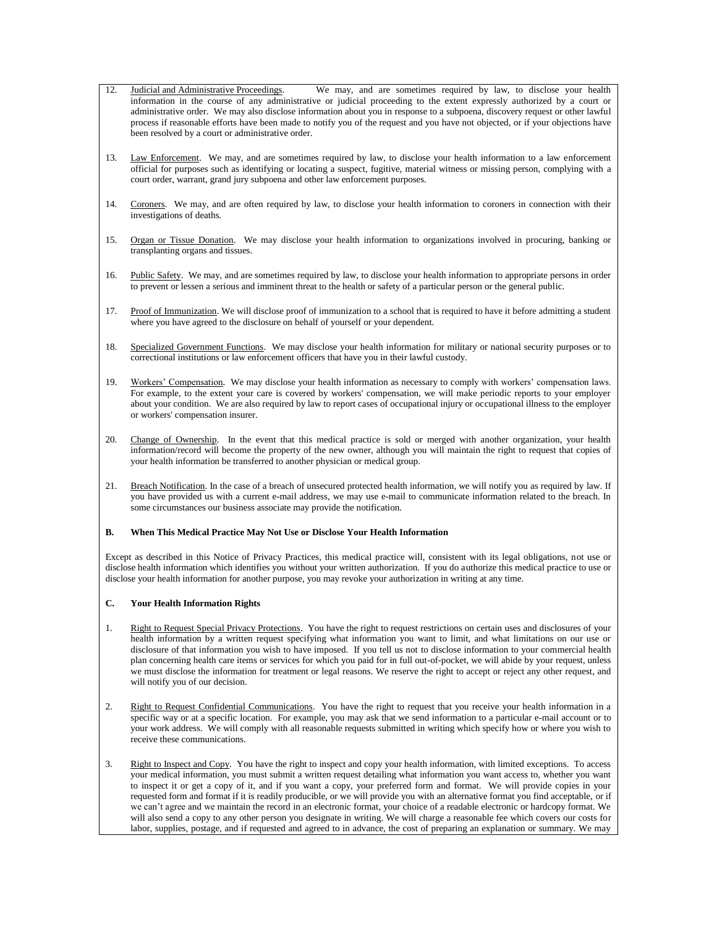- 12. Judicial and Administrative Proceedings. We may, and are sometimes required by law, to disclose your health information in the course of any administrative or judicial proceeding to the extent expressly authorized by a court or administrative order. We may also disclose information about you in response to a subpoena, discovery request or other lawful process if reasonable efforts have been made to notify you of the request and you have not objected, or if your objections have been resolved by a court or administrative order.
- 13. Law Enforcement. We may, and are sometimes required by law, to disclose your health information to a law enforcement official for purposes such as identifying or locating a suspect, fugitive, material witness or missing person, complying with a court order, warrant, grand jury subpoena and other law enforcement purposes.
- 14. Coroners. We may, and are often required by law, to disclose your health information to coroners in connection with their investigations of deaths.
- 15. Organ or Tissue Donation. We may disclose your health information to organizations involved in procuring, banking or transplanting organs and tissues.
- 16. Public Safety. We may, and are sometimes required by law, to disclose your health information to appropriate persons in order to prevent or lessen a serious and imminent threat to the health or safety of a particular person or the general public.
- 17. Proof of Immunization. We will disclose proof of immunization to a school that is required to have it before admitting a student where you have agreed to the disclosure on behalf of yourself or your dependent.
- 18. Specialized Government Functions. We may disclose your health information for military or national security purposes or to correctional institutions or law enforcement officers that have you in their lawful custody.
- 19. Workers' Compensation. We may disclose your health information as necessary to comply with workers' compensation laws. For example, to the extent your care is covered by workers' compensation, we will make periodic reports to your employer about your condition. We are also required by law to report cases of occupational injury or occupational illness to the employer or workers' compensation insurer.
- 20. Change of Ownership. In the event that this medical practice is sold or merged with another organization, your health information/record will become the property of the new owner, although you will maintain the right to request that copies of your health information be transferred to another physician or medical group.
- 21. Breach Notification. In the case of a breach of unsecured protected health information, we will notify you as required by law. If you have provided us with a current e-mail address, we may use e-mail to communicate information related to the breach. In some circumstances our business associate may provide the notification.

## <span id="page-2-0"></span>**B. When This Medical Practice May Not Use or Disclose Your Health Information**

Except as described in this Notice of Privacy Practices, this medical practice will, consistent with its legal obligations, not use or disclose health information which identifies you without your written authorization. If you do authorize this medical practice to use or disclose your health information for another purpose, you may revoke your authorization in writing at any time.

## <span id="page-2-1"></span>**C. Your Health Information Rights**

- 1. Right to Request Special Privacy Protections. You have the right to request restrictions on certain uses and disclosures of your health information by a written request specifying what information you want to limit, and what limitations on our use or disclosure of that information you wish to have imposed. If you tell us not to disclose information to your commercial health plan concerning health care items or services for which you paid for in full out-of-pocket, we will abide by your request, unless we must disclose the information for treatment or legal reasons. We reserve the right to accept or reject any other request, and will notify you of our decision.
- 2. Right to Request Confidential Communications. You have the right to request that you receive your health information in a specific way or at a specific location. For example, you may ask that we send information to a particular e-mail account or to your work address. We will comply with all reasonable requests submitted in writing which specify how or where you wish to receive these communications.
- 3. Right to Inspect and Copy. You have the right to inspect and copy your health information, with limited exceptions. To access your medical information, you must submit a written request detailing what information you want access to, whether you want to inspect it or get a copy of it, and if you want a copy, your preferred form and format. We will provide copies in your requested form and format if it is readily producible, or we will provide you with an alternative format you find acceptable, or if we can't agree and we maintain the record in an electronic format, your choice of a readable electronic or hardcopy format. We will also send a copy to any other person you designate in writing. We will charge a reasonable fee which covers our costs for labor, supplies, postage, and if requested and agreed to in advance, the cost of preparing an explanation or summary. We may